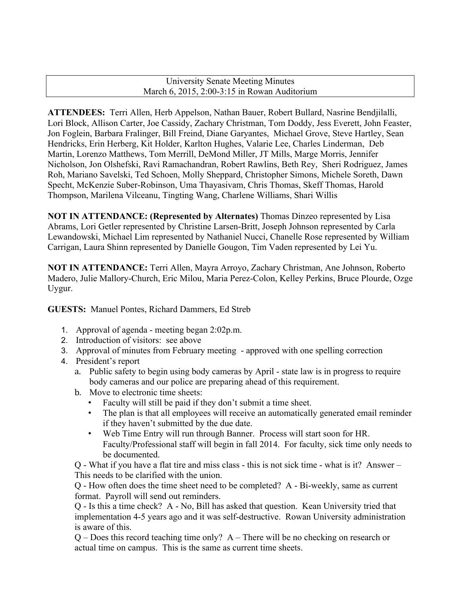## University Senate Meeting Minutes March 6, 2015, 2:00-3:15 in Rowan Auditorium

**ATTENDEES:** Terri Allen, Herb Appelson, Nathan Bauer, Robert Bullard, Nasrine Bendjilalli, Lori Block, Allison Carter, Joe Cassidy, Zachary Christman, Tom Doddy, Jess Everett, John Feaster, Jon Foglein, Barbara Fralinger, Bill Freind, Diane Garyantes, Michael Grove, Steve Hartley, Sean Hendricks, Erin Herberg, Kit Holder, Karlton Hughes, Valarie Lee, Charles Linderman, Deb Martin, Lorenzo Matthews, Tom Merrill, DeMond Miller, JT Mills, Marge Morris, Jennifer Nicholson, Jon Olshefski, Ravi Ramachandran, Robert Rawlins, Beth Rey, Sheri Rodriguez, James Roh, Mariano Savelski, Ted Schoen, Molly Sheppard, Christopher Simons, Michele Soreth, Dawn Specht, McKenzie Suber-Robinson, Uma Thayasivam, Chris Thomas, Skeff Thomas, Harold Thompson, Marilena Vilceanu, Tingting Wang, Charlene Williams, Shari Willis

**NOT IN ATTENDANCE: (Represented by Alternates)** Thomas Dinzeo represented by Lisa Abrams, Lori Getler represented by Christine Larsen-Britt, Joseph Johnson represented by Carla Lewandowski, Michael Lim represented by Nathaniel Nucci, Chanelle Rose represented by William Carrigan, Laura Shinn represented by Danielle Gougon, Tim Vaden represented by Lei Yu.

**NOT IN ATTENDANCE:** Terri Allen, Mayra Arroyo, Zachary Christman, Ane Johnson, Roberto Madero, Julie Mallory-Church, Eric Milou, Maria Perez-Colon, Kelley Perkins, Bruce Plourde, Ozge Uygur.

**GUESTS:** Manuel Pontes, Richard Dammers, Ed Streb

- 1. Approval of agenda meeting began 2:02p.m.
- 2. Introduction of visitors: see above
- 3. Approval of minutes from February meeting approved with one spelling correction
- 4. President's report
	- a. Public safety to begin using body cameras by April state law is in progress to require body cameras and our police are preparing ahead of this requirement.
	- b. Move to electronic time sheets:
		- Faculty will still be paid if they don't submit a time sheet.
		- The plan is that all employees will receive an automatically generated email reminder if they haven't submitted by the due date.
		- Web Time Entry will run through Banner. Process will start soon for HR. Faculty/Professional staff will begin in fall 2014. For faculty, sick time only needs to be documented.

Q - What if you have a flat tire and miss class - this is not sick time - what is it? Answer – This needs to be clarified with the union.

Q - How often does the time sheet need to be completed? A - Bi-weekly, same as current format. Payroll will send out reminders.

Q - Is this a time check? A - No, Bill has asked that question. Kean University tried that implementation 4-5 years ago and it was self-destructive. Rowan University administration is aware of this.

Q – Does this record teaching time only? A – There will be no checking on research or actual time on campus. This is the same as current time sheets.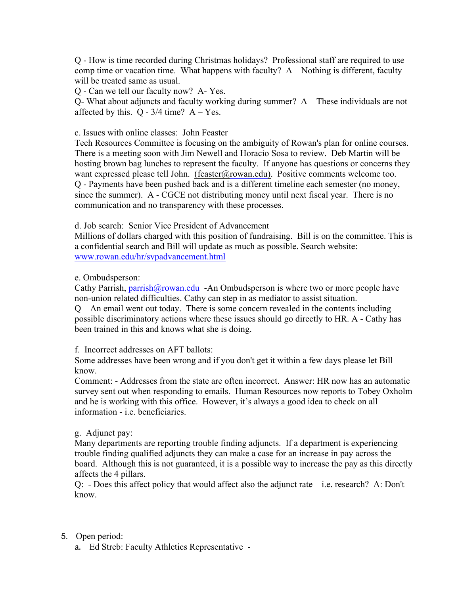Q - How is time recorded during Christmas holidays? Professional staff are required to use comp time or vacation time. What happens with faculty?  $A - \text{Nothing is different, faculty}$ will be treated same as usual.

Q - Can we tell our faculty now? A- Yes.

Q- What about adjuncts and faculty working during summer? A – These individuals are not affected by this.  $Q - 3/4$  time?  $A - Yes$ .

## c. Issues with online classes: John Feaster

Tech Resources Committee is focusing on the ambiguity of Rowan's plan for online courses. There is a meeting soon with Jim Newell and Horacio Sosa to review. Deb Martin will be hosting brown bag lunches to represent the faculty. If anyone has questions or concerns they want expressed please tell John. (feaster@rowan.edu). Positive comments welcome too. Q - Payments have been pushed back and is a different timeline each semester (no money, since the summer). A - CGCE not distributing money until next fiscal year. There is no communication and no transparency with these processes.

d. Job search: Senior Vice President of Advancement

Millions of dollars charged with this position of fundraising. Bill is on the committee. This is a confidential search and Bill will update as much as possible. Search website: www.rowan.edu/hr/svpadvancement.html

e. Ombudsperson:

Cathy Parrish, parrish@rowan.edu -An Ombudsperson is where two or more people have non-union related difficulties. Cathy can step in as mediator to assist situation. Q – An email went out today. There is some concern revealed in the contents including possible discriminatory actions where these issues should go directly to HR. A - Cathy has been trained in this and knows what she is doing.

f. Incorrect addresses on AFT ballots:

Some addresses have been wrong and if you don't get it within a few days please let Bill know.

Comment: - Addresses from the state are often incorrect. Answer: HR now has an automatic survey sent out when responding to emails. Human Resources now reports to Tobey Oxholm and he is working with this office. However, it's always a good idea to check on all information - i.e. beneficiaries.

## g. Adjunct pay:

Many departments are reporting trouble finding adjuncts. If a department is experiencing trouble finding qualified adjuncts they can make a case for an increase in pay across the board. Although this is not guaranteed, it is a possible way to increase the pay as this directly affects the 4 pillars.

Q: - Does this affect policy that would affect also the adjunct rate – i.e. research? A: Don't know.

- 5. Open period:
	- a. Ed Streb: Faculty Athletics Representative -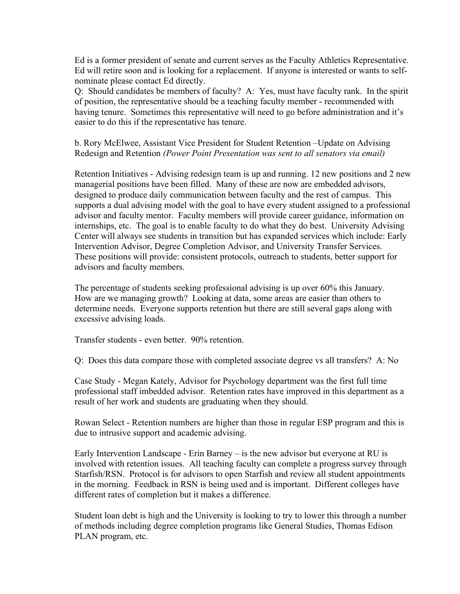Ed is a former president of senate and current serves as the Faculty Athletics Representative. Ed will retire soon and is looking for a replacement. If anyone is interested or wants to selfnominate please contact Ed directly.

Q: Should candidates be members of faculty? A: Yes, must have faculty rank. In the spirit of position, the representative should be a teaching faculty member - recommended with having tenure. Sometimes this representative will need to go before administration and it's easier to do this if the representative has tenure.

b. Rory McElwee, Assistant Vice President for Student Retention –Update on Advising Redesign and Retention *(Power Point Presentation was sent to all senators via email)*

Retention Initiatives - Advising redesign team is up and running. 12 new positions and 2 new managerial positions have been filled. Many of these are now are embedded advisors, designed to produce daily communication between faculty and the rest of campus. This supports a dual advising model with the goal to have every student assigned to a professional advisor and faculty mentor. Faculty members will provide career guidance, information on internships, etc. The goal is to enable faculty to do what they do best. University Advising Center will always see students in transition but has expanded services which include: Early Intervention Advisor, Degree Completion Advisor, and University Transfer Services. These positions will provide: consistent protocols, outreach to students, better support for advisors and faculty members.

The percentage of students seeking professional advising is up over 60% this January. How are we managing growth? Looking at data, some areas are easier than others to determine needs. Everyone supports retention but there are still several gaps along with excessive advising loads.

Transfer students - even better. 90% retention.

Q: Does this data compare those with completed associate degree vs all transfers? A: No

Case Study - Megan Kately, Advisor for Psychology department was the first full time professional staff imbedded advisor. Retention rates have improved in this department as a result of her work and students are graduating when they should.

Rowan Select - Retention numbers are higher than those in regular ESP program and this is due to intrusive support and academic advising.

Early Intervention Landscape - Erin Barney – is the new advisor but everyone at RU is involved with retention issues. All teaching faculty can complete a progress survey through Starfish/RSN. Protocol is for advisors to open Starfish and review all student appointments in the morning. Feedback in RSN is being used and is important. Different colleges have different rates of completion but it makes a difference.

Student loan debt is high and the University is looking to try to lower this through a number of methods including degree completion programs like General Studies, Thomas Edison PLAN program, etc.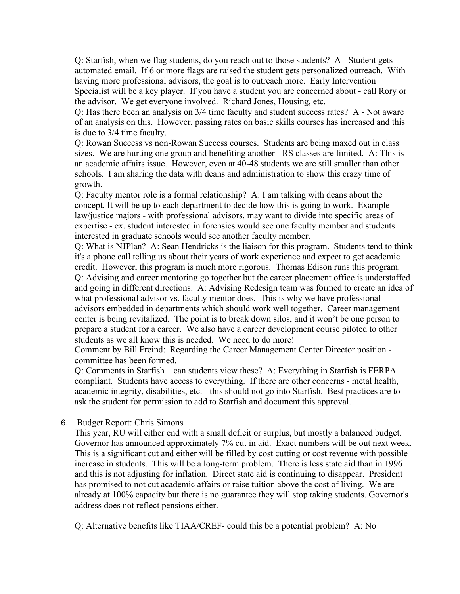Q: Starfish, when we flag students, do you reach out to those students? A - Student gets automated email. If 6 or more flags are raised the student gets personalized outreach. With having more professional advisors, the goal is to outreach more. Early Intervention Specialist will be a key player. If you have a student you are concerned about - call Rory or the advisor. We get everyone involved. Richard Jones, Housing, etc.

Q: Has there been an analysis on 3/4 time faculty and student success rates? A - Not aware of an analysis on this. However, passing rates on basic skills courses has increased and this is due to 3/4 time faculty.

Q: Rowan Success vs non-Rowan Success courses. Students are being maxed out in class sizes. We are hurting one group and benefiting another - RS classes are limited. A: This is an academic affairs issue. However, even at 40-48 students we are still smaller than other schools. I am sharing the data with deans and administration to show this crazy time of growth.

Q: Faculty mentor role is a formal relationship? A: I am talking with deans about the concept. It will be up to each department to decide how this is going to work. Example law/justice majors - with professional advisors, may want to divide into specific areas of expertise - ex. student interested in forensics would see one faculty member and students interested in graduate schools would see another faculty member.

Q: What is NJPlan? A: Sean Hendricks is the liaison for this program. Students tend to think it's a phone call telling us about their years of work experience and expect to get academic credit. However, this program is much more rigorous. Thomas Edison runs this program. Q: Advising and career mentoring go together but the career placement office is understaffed and going in different directions. A: Advising Redesign team was formed to create an idea of what professional advisor vs. faculty mentor does. This is why we have professional advisors embedded in departments which should work well together. Career management center is being revitalized. The point is to break down silos, and it won't be one person to prepare a student for a career. We also have a career development course piloted to other students as we all know this is needed. We need to do more!

Comment by Bill Freind: Regarding the Career Management Center Director position committee has been formed.

Q: Comments in Starfish – can students view these? A: Everything in Starfish is FERPA compliant. Students have access to everything. If there are other concerns - metal health, academic integrity, disabilities, etc. - this should not go into Starfish. Best practices are to ask the student for permission to add to Starfish and document this approval.

6. Budget Report: Chris Simons

This year, RU will either end with a small deficit or surplus, but mostly a balanced budget. Governor has announced approximately 7% cut in aid. Exact numbers will be out next week. This is a significant cut and either will be filled by cost cutting or cost revenue with possible increase in students. This will be a long-term problem. There is less state aid than in 1996 and this is not adjusting for inflation. Direct state aid is continuing to disappear. President has promised to not cut academic affairs or raise tuition above the cost of living. We are already at 100% capacity but there is no guarantee they will stop taking students. Governor's address does not reflect pensions either.

Q: Alternative benefits like TIAA/CREF- could this be a potential problem? A: No